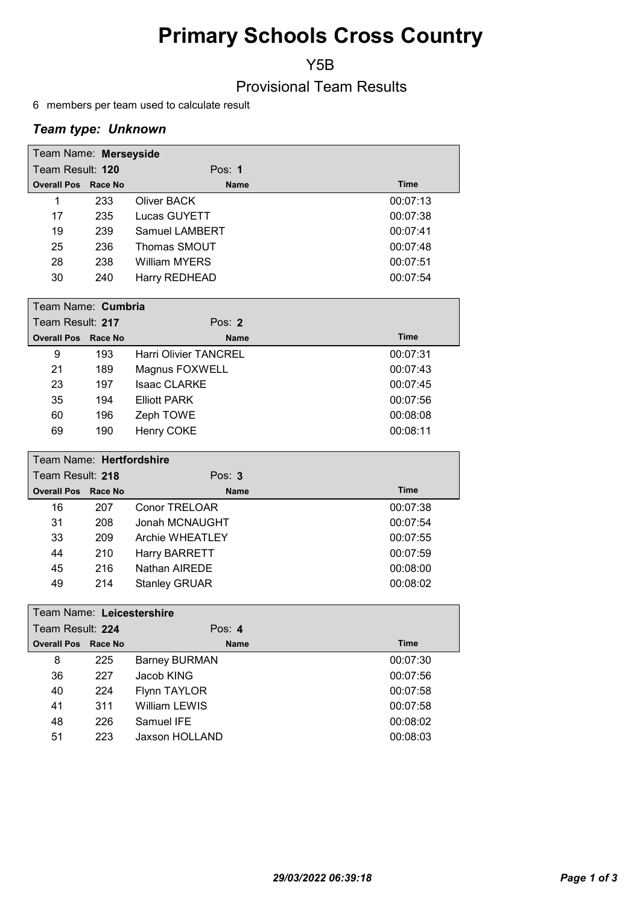# Primary Schools Cross Country

Y5B

Provisional Team Results

6 members per team used to calculate result

## Team type: Unknown

| Team Name: Merseyside      |     |                              |             |
|----------------------------|-----|------------------------------|-------------|
| Team Result: 120           |     | Pos: $1$                     |             |
| <b>Overall Pos Race No</b> |     | <b>Name</b>                  | <b>Time</b> |
| 1                          | 233 | Oliver BACK                  | 00:07:13    |
| 17                         | 235 | Lucas GUYETT                 | 00:07:38    |
| 19                         | 239 | Samuel LAMBERT               | 00:07:41    |
| 25                         | 236 | Thomas SMOUT                 | 00:07:48    |
| 28                         | 238 | <b>William MYERS</b>         | 00:07:51    |
| 30                         | 240 | Harry REDHEAD                | 00:07:54    |
| Team Name: Cumbria         |     |                              |             |
| Team Result: 217           |     | Pos: $2$                     |             |
| <b>Overall Pos Race No</b> |     | <b>Name</b>                  | <b>Time</b> |
| 9                          | 193 | <b>Harri Olivier TANCREL</b> | 00:07:31    |

|    | 1 J J | $\overline{\phantom{a}}$ iidii viivigi Taivultee | 00.UT.JT |
|----|-------|--------------------------------------------------|----------|
| 21 | 189   | Magnus FOXWELL                                   | 00:07:43 |
| 23 | 197   | <b>Isaac CLARKE</b>                              | 00:07:45 |
| 35 | 194   | Elliott PARK                                     | 00:07:56 |
| 60 | 196   | Zeph TOWE                                        | 00:08:08 |
| 69 | 190   | Henry COKE                                       | 00:08:11 |

| Team Name: Hertfordshire   |     |                      |             |  |  |
|----------------------------|-----|----------------------|-------------|--|--|
| Team Result: 218           |     | Pos: $3$             |             |  |  |
| <b>Overall Pos Race No</b> |     | <b>Name</b>          | <b>Time</b> |  |  |
| 16                         | 207 | <b>Conor TRELOAR</b> | 00:07:38    |  |  |
| 31                         | 208 | Jonah MCNAUGHT       | 00:07:54    |  |  |
| 33                         | 209 | Archie WHEATLEY      | 00:07:55    |  |  |
| 44                         | 210 | <b>Harry BARRETT</b> | 00:07:59    |  |  |
| 45                         | 216 | Nathan AIREDE        | 00:08:00    |  |  |
| 49                         | 214 | <b>Stanley GRUAR</b> | 00:08:02    |  |  |

|                  | Team Name: Leicestershire  |     |                      |             |  |  |
|------------------|----------------------------|-----|----------------------|-------------|--|--|
| Team Result: 224 |                            |     | Pos: $4$             |             |  |  |
|                  | <b>Overall Pos Race No</b> |     | <b>Name</b>          | <b>Time</b> |  |  |
|                  | 8                          | 225 | <b>Barney BURMAN</b> | 00:07:30    |  |  |
|                  | 36                         | 227 | Jacob KING           | 00:07:56    |  |  |
|                  | 40                         | 224 | Flynn TAYLOR         | 00:07:58    |  |  |
|                  | 41                         | 311 | <b>William LEWIS</b> | 00:07:58    |  |  |
|                  | 48                         | 226 | Samuel IFE           | 00:08:02    |  |  |
|                  | 51                         | 223 | Jaxson HOLLAND       | 00:08:03    |  |  |
|                  |                            |     |                      |             |  |  |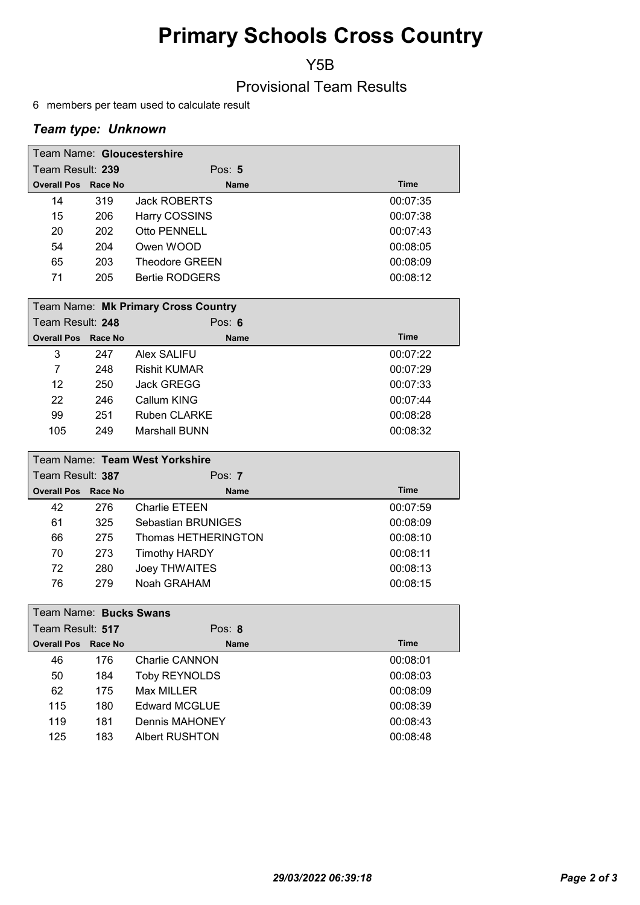# Primary Schools Cross Country

Y5B

## Provisional Team Results

6 members per team used to calculate result

## Team type: Unknown

| Team Name: Gloucestershire |     |                       |             |  |
|----------------------------|-----|-----------------------|-------------|--|
| Team Result: 239           |     | Pos: $5$              |             |  |
| <b>Overall Pos Race No</b> |     | <b>Name</b>           | <b>Time</b> |  |
| 14                         | 319 | Jack ROBERTS          | 00:07:35    |  |
| 15                         | 206 | Harry COSSINS         | 00:07:38    |  |
| 20                         | 202 | Otto PENNELL          | 00:07:43    |  |
| 54                         | 204 | Owen WOOD             | 00:08:05    |  |
| 65                         | 203 | <b>Theodore GREEN</b> | 00:08:09    |  |
| 71                         | 205 | <b>Bertie RODGERS</b> | 00:08:12    |  |

|                  | Team Name: Mk Primary Cross Country |     |                     |             |  |
|------------------|-------------------------------------|-----|---------------------|-------------|--|
| Team Result: 248 |                                     |     | Pos: $6$            |             |  |
|                  | <b>Overall Pos Race No</b>          |     | <b>Name</b>         | <b>Time</b> |  |
|                  | 3                                   | 247 | Alex SALIFU         | 00:07:22    |  |
|                  | 7                                   | 248 | <b>Rishit KUMAR</b> | 00:07:29    |  |
|                  | 12                                  | 250 | Jack GREGG          | 00:07:33    |  |
|                  | 22                                  | 246 | Callum KING         | 00:07:44    |  |
|                  | 99                                  | 251 | <b>Ruben CLARKE</b> | 00:08:28    |  |
|                  | 105                                 | 249 | Marshall BUNN       | 00:08:32    |  |

| Team Name: Team West Yorkshire |     |                      |             |  |  |
|--------------------------------|-----|----------------------|-------------|--|--|
| Team Result: 387               |     | Pos: $7$             |             |  |  |
| <b>Overall Pos Race No</b>     |     | <b>Name</b>          | <b>Time</b> |  |  |
| 42                             | 276 | Charlie ETEEN        | 00:07:59    |  |  |
| 61                             | 325 | Sebastian BRUNIGES   | 00:08:09    |  |  |
| 66                             | 275 | Thomas HETHERINGTON  | 00:08:10    |  |  |
| 70                             | 273 | <b>Timothy HARDY</b> | 00:08:11    |  |  |
| 72                             | 280 | Joey THWAITES        | 00:08:13    |  |  |
| 76                             | 279 | Noah GRAHAM          | 00:08:15    |  |  |

|                  | Team Name: Bucks Swans |         |                      |             |  |
|------------------|------------------------|---------|----------------------|-------------|--|
| Team Result: 517 |                        |         | Pos: $8$             |             |  |
|                  | <b>Overall Pos</b>     | Race No | <b>Name</b>          | <b>Time</b> |  |
|                  | 46                     | 176     | Charlie CANNON       | 00:08:01    |  |
|                  | 50                     | 184     | <b>Toby REYNOLDS</b> | 00:08:03    |  |
|                  | 62                     | 175     | Max MILLER           | 00:08:09    |  |
|                  | 115                    | 180     | <b>Edward MCGLUE</b> | 00:08:39    |  |
|                  | 119                    | 181     | Dennis MAHONEY       | 00:08:43    |  |
|                  | 125                    | 183     | Albert RUSHTON       | 00:08:48    |  |
|                  |                        |         |                      |             |  |